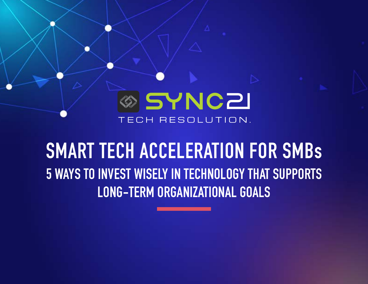

# **SMART TECH ACCELERATION FOR SMBs 5 WAYS TO INVEST WISELY IN TECHNOLOGY THAT SUPPORTS LONG-TERM ORGANIZATIONAL GOALS**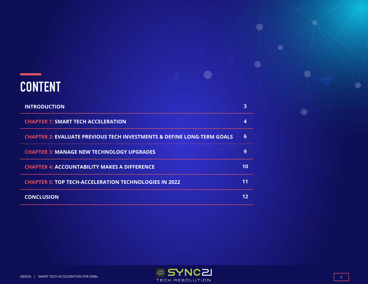## **CONTENT**

| <b>INTRODUCTION</b>                                                               | 3  |
|-----------------------------------------------------------------------------------|----|
| <b>CHAPTER 1: SMART TECH ACCELERATION</b>                                         | 4  |
| <b>CHAPTER 2: EVALUATE PREVIOUS TECH INVESTMENTS &amp; DEFINE LONG-TERM GOALS</b> | 6  |
| <b>CHAPTER 3: MANAGE NEW TECHNOLOGY UPGRADES</b>                                  | 9  |
| <b>CHAPTER 4: ACCOUNTABILITY MAKES A DIFFERENCE</b>                               | 10 |
| <b>CHAPTER 5: TOP TECH-ACCELERATION TECHNOLOGIES IN 2022</b>                      | 11 |
| <b>CONCLUSION</b>                                                                 | 12 |



 $\bullet$ 

 $\bullet$ 

 $\bullet$ 

 $\bullet$ 

 $\bullet$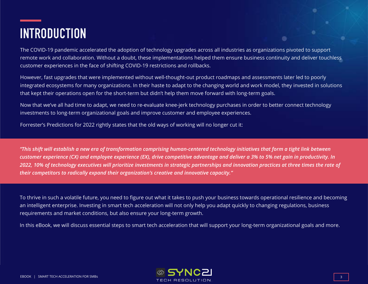# **INTRODUCTION**

The COVID-19 pandemic accelerated the adoption of technology upgrades across all industries as organizations pivoted to support remote work and collaboration. Without a doubt, these implementations helped them ensure business continuity and deliver touchless customer experiences in the face of shifting COVID-19 restrictions and rollbacks.

However, fast upgrades that were implemented without well-thought-out product roadmaps and assessments later led to poorly integrated ecosystems for many organizations. In their haste to adapt to the changing world and work model, they invested in solutions that kept their operations open for the short-term but didn't help them move forward with long-term goals.

Now that we've all had time to adapt, we need to re-evaluate knee-jerk technology purchases in order to better connect technology investments to long-term organizational goals and improve customer and employee experiences.

Forrester's Predictions for 2022 rightly states that the old ways of working will no longer cut it:

*"This shift will establish a new era of transformation comprising human-centered technology initiatives that form a tight link between customer experience (CX) and employee experience (EX), drive competitive advantage and deliver a 3% to 5% net gain in productivity. In 2022, 10% of technology executives will prioritize investments in strategic partnerships and innovation practices at three times the rate of their competitors to radically expand their organization's creative and innovative capacity."*

To thrive in such a volatile future, you need to figure out what it takes to push your business towards operational resilience and becoming an intelligent enterprise. Investing in smart tech acceleration will not only help you adapt quickly to changing regulations, business requirements and market conditions, but also ensure your long-term growth.

In this eBook, we will discuss essential steps to smart tech acceleration that will support your long-term organizational goals and more.



 $\bullet$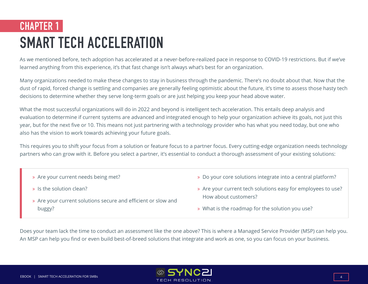## **CHAPTER 1 SMART TECH ACCELERATION**

As we mentioned before, tech adoption has accelerated at a never-before-realized pace in response to COVID-19 restrictions. But if we've learned anything from this experience, it's that fast change isn't always what's best for an organization.

Many organizations needed to make these changes to stay in business through the pandemic. There's no doubt about that. Now that the dust of rapid, forced change is settling and companies are generally feeling optimistic about the future, it's time to assess those hasty tech decisions to determine whether they serve long-term goals or are just helping you keep your head above water.

What the most successful organizations will do in 2022 and beyond is intelligent tech acceleration. This entails deep analysis and evaluation to determine if current systems are advanced and integrated enough to help your organization achieve its goals, not just this year, but for the next five or 10. This means not just partnering with a technology provider who has what you need today, but one who also has the vision to work towards achieving your future goals.

This requires you to shift your focus from a solution or feature focus to a partner focus. Every cutting-edge organization needs technology partners who can grow with it. Before you select a partner, it's essential to conduct a thorough assessment of your existing solutions:

- » Are your current needs being met?
- $\ast$  Is the solution clean?
- » Are your current solutions secure and efficient or slow and buggy?
- ò Do your core solutions integrate into a central platform?
- » Are your current tech solutions easy for employees to use? How about customers?
- » What is the roadmap for the solution you use?

Does your team lack the time to conduct an assessment like the one above? This is where a Managed Service Provider (MSP) can help you. An MSP can help you find or even build best-of-breed solutions that integrate and work as one, so you can focus on your business.

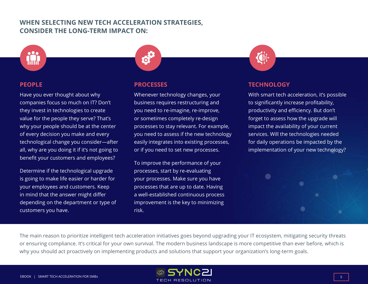#### **WHEN SELECTING NEW TECH ACCELERATION STRATEGIES, CONSIDER THE LONG-TERM IMPACT ON:**



#### **PEOPLE**

Have you ever thought about why companies focus so much on IT? Don't they invest in technologies to create value for the people they serve? That's why your people should be at the center of every decision you make and every technological change you consider—after all, why are you doing it if it's not going to benefit your customers and employees?

Determine if the technological upgrade is going to make life easier or harder for your employees and customers. Keep in mind that the answer might differ depending on the department or type of customers you have.



#### **PROCESSES**

Whenever technology changes, your business requires restructuring and you need to re-imagine, re-improve, or sometimes completely re-design processes to stay relevant. For example, you need to assess if the new technology easily integrates into existing processes, or if you need to set new processes.

To improve the performance of your processes, start by re-evaluating your processes. Make sure you have processes that are up to date. Having a well-established continuous process improvement is the key to minimizing risk.



#### **TECHNOLOGY**

With smart tech acceleration, it's possible to significantly increase profitability, productivity and efficiency. But don't forget to assess how the upgrade will impact the availability of your current services. Will the technologies needed for daily operations be impacted by the implementation of your new technology?



The main reason to prioritize intelligent tech acceleration initiatives goes beyond upgrading your IT ecosystem, mitigating security threats or ensuring compliance. It's critical for your own survival. The modern business landscape is more competitive than ever before, which is why you should act proactively on implementing products and solutions that support your organization's long-term goals.

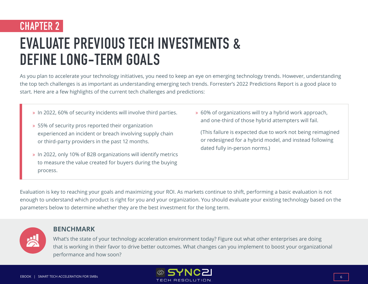### **CHAPTER 2**

# **EVALUATE PREVIOUS TECH INVESTMENTS & DEFINE LONG-TERM GOALS**

As you plan to accelerate your technology initiatives, you need to keep an eye on emerging technology trends. However, understanding the top tech challenges is as important as understanding emerging tech trends. Forrester's 2022 Predictions Report is a good place to start. Here are a few highlights of the current tech challenges and predictions:

- ò In 2022, 60% of security incidents will involve third parties.
- » 55% of security pros reported their organization experienced an incident or breach involving supply chain or third-party providers in the past 12 months.
- ò In 2022, only 10% of B2B organizations will identify metrics to measure the value created for buyers during the buying process.

ò 60% of organizations will try a hybrid work approach, and one-third of those hybrid attempters will fail.

(This failure is expected due to work not being reimagined or redesigned for a hybrid model, and instead following dated fully in-person norms.)

Evaluation is key to reaching your goals and maximizing your ROI. As markets continue to shift, performing a basic evaluation is not enough to understand which product is right for you and your organization. You should evaluate your existing technology based on the parameters below to determine whether they are the best investment for the long term.



#### **BENCHMARK**

What's the state of your technology acceleration environment today? Figure out what other enterprises are doing that is working in their favor to drive better outcomes. What changes can you implement to boost your organizational performance and how soon?

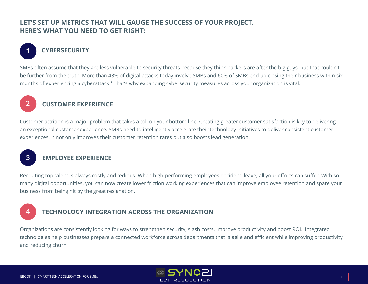#### **LET'S SET UP METRICS THAT WILL GAUGE THE SUCCESS OF YOUR PROJECT. HERE'S WHAT YOU NEED TO GET RIGHT:**

#### **CYBERSECURITY**

SMBs often assume that they are less vulnerable to security threats because they think hackers are after the big guys, but that couldn't be further from the truth. More than 43% of digital attacks today involve SMBs and 60% of SMBs end up closing their business within six months of experiencing a cyberattack.1 That's why expanding cybersecurity measures across your organization is vital.



**1**

#### **CUSTOMER EXPERIENCE**

Customer attrition is a major problem that takes a toll on your bottom line. Creating greater customer satisfaction is key to delivering an exceptional customer experience. SMBs need to intelligently accelerate their technology initiatives to deliver consistent customer experiences. It not only improves their customer retention rates but also boosts lead generation.



#### **EMPLOYEE EXPERIENCE**

Recruiting top talent is always costly and tedious. When high-performing employees decide to leave, all your efforts can suffer. With so many digital opportunities, you can now create lower friction working experiences that can improve employee retention and spare your business from being hit by the great resignation.

#### **4**

#### **TECHNOLOGY INTEGRATION ACROSS THE ORGANIZATION**

Organizations are consistently looking for ways to strengthen security, slash costs, improve productivity and boost ROI. Integrated technologies help businesses prepare a connected workforce across departments that is agile and efficient while improving productivity and reducing churn.

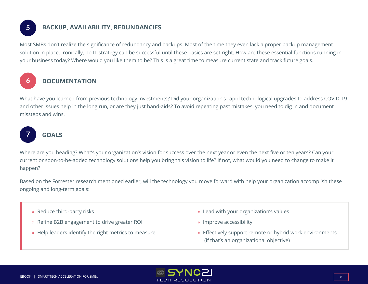**5**

**6**

#### **BACKUP, AVAILABILITY, REDUNDANCIES**

Most SMBs don't realize the significance of redundancy and backups. Most of the time they even lack a proper backup management solution in place. Ironically, no IT strategy can be successful until these basics are set right. How are these essential functions running in your business today? Where would you like them to be? This is a great time to measure current state and track future goals.

#### **DOCUMENTATION**

What have you learned from previous technology investments? Did your organization's rapid technological upgrades to address COVID-19 and other issues help in the long run, or are they just band-aids? To avoid repeating past mistakes, you need to dig in and document missteps and wins.



#### **GOALS**

Where are you heading? What's your organization's vision for success over the next year or even the next five or ten years? Can your current or soon-to-be-added technology solutions help you bring this vision to life? If not, what would you need to change to make it happen?

Based on the Forrester research mentioned earlier, will the technology you move forward with help your organization accomplish these ongoing and long-term goals:

- » Reduce third-party risks
- ò Refine B2B engagement to drive greater ROI
- » Help leaders identify the right metrics to measure
- » Lead with your organization's values
- » Improve accessibility
- » Effectively support remote or hybrid work environments (if that's an organizational objective)

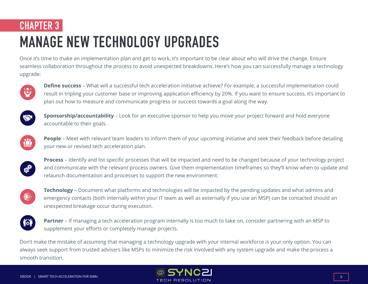### **CHAPTER 3**

# **MANAGE NEW TECHNOLOGY UPGRADES**

Once it's time to make an implementation plan and get to work, it's important to be clear about who will drive the change. Ensure seamless collaboration throughout the process to avoid unexpected breakdowns. Here's how you can successfully manage a technology upgrade:



**Define success** – What will a successful tech acceleration initiative achieve? For example, a successful implementation could result in tripling your customer base or improving application efficiency by 20%. If you want to ensure success, it's important to plan out how to measure and communicate progress or success towards a goal along the way.



**Sponsorship/accountability** – Look for an executive sponsor to help you move your project forward and hold everyone accountable to their goals.



**People** – Meet with relevant team leaders to inform them of your upcoming initiative and seek their feedback before detailing your new or revised tech acceleration plan.



**Process** – Identify and list specific processes that will be impacted and need to be changed because of your technology project and communicate with the relevant process owners. Give them implementation timeframes so they'll know when to update and relaunch documentation and processes to support the new environment.



**Technology** – Document what platforms and technologies will be impacted by the pending updates and what admins and emergency contacts (both internally within your IT team as well as externally if you use an MSP) can be contacted should an unexpected breakage occur during execution.



**Partner** – If managing a tech acceleration program internally is too much to take on, consider partnering with an MSP to supplement your efforts or completely manage projects.

Don't make the mistake of assuming that managing a technology upgrade with your internal workforce is your only option. You can always seek support from trusted advisers like MSPs to minimize the risk involved with any system upgrade and make the process a smooth transition.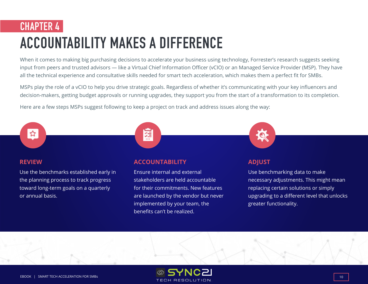## **CHAPTER 4 ACCOUNTABILITY MAKES A DIFFERENCE**

When it comes to making big purchasing decisions to accelerate your business using technology, Forrester's research suggests seeking input from peers and trusted advisors — like a Virtual Chief Information Officer (vCIO) or an Managed Service Provider (MSP). They have all the technical experience and consultative skills needed for smart tech acceleration, which makes them a perfect fit for SMBs.

MSPs play the role of a vCIO to help you drive strategic goals. Regardless of whether it's communicating with your key influencers and decision-makers, getting budget approvals or running upgrades, they support you from the start of a transformation to its completion.

Here are a few steps MSPs suggest following to keep a project on track and address issues along the way:





#### **REVIEW**

Use the benchmarks established early in the planning process to track progress toward long-term goals on a quarterly or annual basis.

#### **ACCOUNTABILITY**

Ensure internal and external stakeholders are held accountable for their commitments. New features are launched by the vendor but never implemented by your team, the benefits can't be realized.



#### **ADJUST**

Use benchmarking data to make necessary adjustments. This might mean replacing certain solutions or simply upgrading to a different level that unlocks greater functionality.

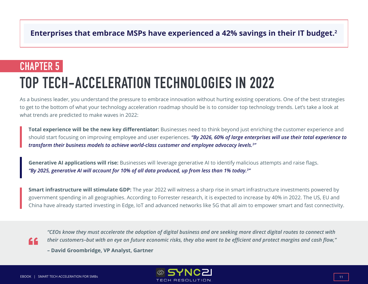#### **Enterprises that embrace MSPs have experienced a 42% savings in their IT budget.2**

### **CHAPTER 5**

# **TOP TECH-ACCELERATION TECHNOLOGIES IN 2022**

As a business leader, you understand the pressure to embrace innovation without hurting existing operations. One of the best strategies to get to the bottom of what your technology acceleration roadmap should be is to consider top technology trends. Let's take a look at what trends are predicted to make waves in 2022:

**Total experience will be the new key differentiator:** Businesses need to think beyond just enriching the customer experience and should start focusing on improving employee and user experiences. *"By 2026, 60% of large enterprises will use their total experience to transform their business models to achieve world-class customer and employee advocacy levels.3 "*

**Generative AI applications will rise:** Businesses will leverage generative AI to identify malicious attempts and raise flags. *"By 2025, generative AI will account for 10% of all data produced, up from less than 1% today.3 "*

**Smart infrastructure will stimulate GDP:** The year 2022 will witness a sharp rise in smart infrastructure investments powered by government spending in all geographies. According to Forrester research, it is expected to increase by 40% in 2022. The US, EU and China have already started investing in Edge, IoT and advanced networks like 5G that all aim to empower smart and fast connectivity.

"

*"CEOs know they must accelerate the adoption of digital business and are seeking more direct digital routes to connect with their customers–but with an eye on future economic risks, they also want to be efficient and protect margins and cash flow,"* 

**– David Groombridge, VP Analyst, Gartner**